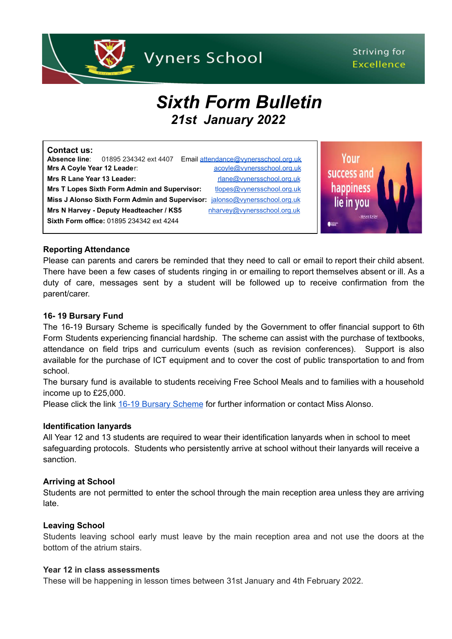

# Striving for **Excellence**

# *Sixth Form Bulletin 21st January 2022*

| Contact us:<br>Absence line:                                                      | 01895 234342 ext 4407                   | Email attendance@vynersschool.org.uk |
|-----------------------------------------------------------------------------------|-----------------------------------------|--------------------------------------|
| Mrs A Coyle Year 12 Leader:                                                       |                                         | acoyle@vynersschool.org.uk           |
| Mrs R Lane Year 13 Leader:                                                        |                                         | rlane@vynersschool.org.uk            |
| <b>Mrs T Lopes Sixth Form Admin and Supervisor:</b><br>tlopes@vynersschool.org.uk |                                         |                                      |
| Miss J Alonso Sixth Form Admin and Supervisor:<br>jalonso@vynersschool.org.uk     |                                         |                                      |
|                                                                                   | Mrs N Harvey - Deputy Headteacher / KS5 | nharvey@vynersschool.org.uk          |
| <b>Sixth Form office: 01895 234342 ext 4244</b>                                   |                                         |                                      |

Your success and happiness lie in you

#### **Reporting Attendance**

Please can parents and carers be reminded that they need to call or email to report their child absent. There have been a few cases of students ringing in or emailing to report themselves absent or ill. As a duty of care, messages sent by a student will be followed up to receive confirmation from the parent/carer.

#### **16- 19 Bursary Fund**

The 16-19 Bursary Scheme is specifically funded by the Government to offer financial support to 6th Form Students experiencing financial hardship. The scheme can assist with the purchase of textbooks, attendance on field trips and curriculum events (such as revision conferences). Support is also available for the purchase of ICT equipment and to cover the cost of public transportation to and from school.

The bursary fund is available to students receiving Free School Meals and to families with a household income up to £25,000.

Please click the link 16-19 Bursary [Scheme](https://www.vynersschool.org.uk/page/?title=16%2D19+Bursary+Scheme&pid=251) for further information or contact Miss Alonso.

#### **Identification lanyards**

All Year 12 and 13 students are required to wear their identification lanyards when in school to meet safeguarding protocols. Students who persistently arrive at school without their lanyards will receive a sanction.

#### **Arriving at School**

Students are not permitted to enter the school through the main reception area unless they are arriving late.

#### **Leaving School**

Students leaving school early must leave by the main reception area and not use the doors at the bottom of the atrium stairs.

#### **Year 12 in class assessments**

These will be happening in lesson times between 31st January and 4th February 2022.